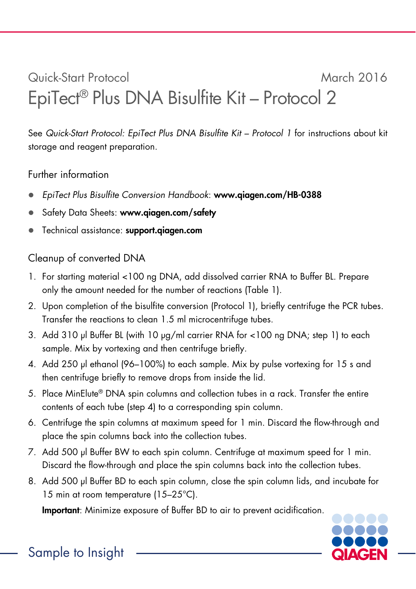## Quick-Start Protocol March 2016 EpiTect® Plus DNA Bisulfite Kit – Protocol 2

See Quick-Start Protocol: EpiTect Plus DNA Bisulfite Kit – Protocol 1 for instructions about kit storage and reagent preparation.

## Further information

- EpiTect Plus Bisulfite Conversion Handbook: www.qiagen.com/HB-0388
- Safety Data Sheets: www.qiagen.com/safety
- Technical assistance: support.qiagen.com

## Cleanup of converted DNA

- 1. For starting material <100 ng DNA, add dissolved carrier RNA to Buffer BL. Prepare only the amount needed for the number of reactions (Table 1).
- 2. Upon completion of the bisulfite conversion (Protocol 1), briefly centrifuge the PCR tubes. Transfer the reactions to clean 1.5 ml microcentrifuge tubes.
- 3. Add 310 μl Buffer BL (with 10 μg/ml carrier RNA for <100 ng DNA; step 1) to each sample. Mix by vortexing and then centrifuge briefly.
- 4. Add 250 μl ethanol (96–100%) to each sample. Mix by pulse vortexing for 15 s and then centrifuge briefly to remove drops from inside the lid.
- 5. Place MinElute® DNA spin columns and collection tubes in a rack. Transfer the entire contents of each tube (step 4) to a corresponding spin column.
- 6. Centrifuge the spin columns at maximum speed for 1 min. Discard the flow-through and place the spin columns back into the collection tubes.
- 7. Add 500 μl Buffer BW to each spin column. Centrifuge at maximum speed for 1 min. Discard the flow-through and place the spin columns back into the collection tubes.
- 8. Add 500 μl Buffer BD to each spin column, close the spin column lids, and incubate for 15 min at room temperature (15-25°C).

Important: Minimize exposure of Buffer BD to air to prevent acidification.



Sample to Insight